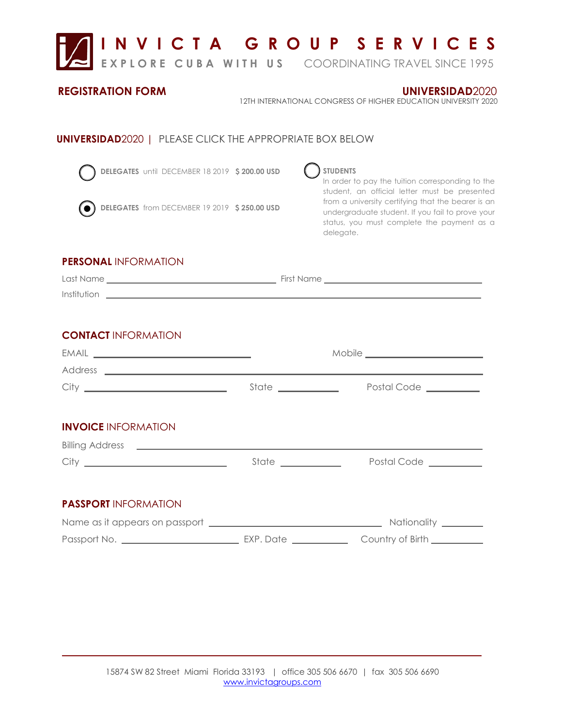

## **REGISTRATION FORM**

**UNIVERSIDAD**2020

12TH INTERNATIONAL CONGRESS OF HIGHER EDUCATION UNIVERSITY 2020

## **UNIVERSIDAD**2020 | PLEASE CLICK THE APPROPRIATE BOX BELOW



**DELEGATES** until DECEMBER 18 2019  **\$ 200.00 USD** 



**DELEGATES** from DECEMBER 19 2019  **\$ 250.00 USD**

**STUDENTS** 

## In order to pay the tuition corresponding to the student, an official letter must be presented from a university certifying that the bearer is an undergraduate student. If you fail to prove your status, you must complete the payment as a delegate.

## **PERSONAL** INFORMATION

| Last Name   | First Name |
|-------------|------------|
| Institution |            |

## **CONTACT** INFORMATION

| $EMAIL \begin{tabular}{l} \hline \rule[1em]{1em}{1em} \rule[1em]{1em}{1em} \rule[1em]{1em}{1em} \rule[1em]{1em}{1em} \rule[1em]{1em}{1em} \rule[1em]{1em}{1em} \rule[1em]{1em}{1em} \rule[1em]{1em}{1em} \rule[1em]{1em}{1em} \rule[1em]{1em}{1em} \rule[1em]{1em}{1em} \rule[1em]{1em}{1em} \rule[1em]{1em}{1em} \rule[1em]{1em}{1em} \rule[1em]{1em}{1em} \rule[1em]{1em}{1em} \rule[1em]{1em}{1em} \rule[$ |                      |                       |
|---------------------------------------------------------------------------------------------------------------------------------------------------------------------------------------------------------------------------------------------------------------------------------------------------------------------------------------------------------------------------------------------------------------|----------------------|-----------------------|
|                                                                                                                                                                                                                                                                                                                                                                                                               |                      |                       |
|                                                                                                                                                                                                                                                                                                                                                                                                               | State ____________   | Postal Code _________ |
|                                                                                                                                                                                                                                                                                                                                                                                                               |                      |                       |
| <b>INVOICE INFORMATION</b>                                                                                                                                                                                                                                                                                                                                                                                    |                      |                       |
|                                                                                                                                                                                                                                                                                                                                                                                                               |                      |                       |
|                                                                                                                                                                                                                                                                                                                                                                                                               | State ______________ | Postal Code _________ |
|                                                                                                                                                                                                                                                                                                                                                                                                               |                      |                       |
| <b>PASSPORT INFORMATION</b>                                                                                                                                                                                                                                                                                                                                                                                   |                      |                       |
|                                                                                                                                                                                                                                                                                                                                                                                                               |                      |                       |
|                                                                                                                                                                                                                                                                                                                                                                                                               |                      |                       |